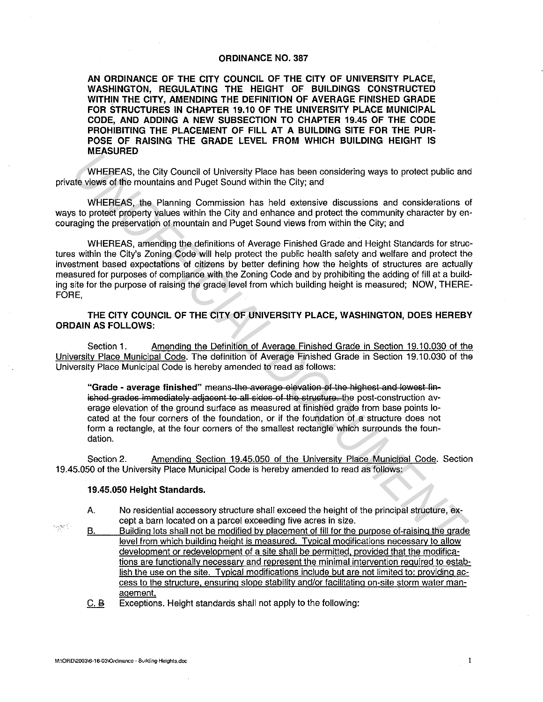## **ORDINANCE NO. 387**

**AN ORDINANCE OF THE CITY COUNCIL OF THE CITY OF UNIVERSITY PLACE, WASHINGTON, REGULATING THE HEIGHT OF BUILDINGS CONSTRUCTED**  WITHIN THE CITY, AMENDING THE DEFINITION OF AVERAGE FINISHED GRADE **FOR STRUCTURES IN CHAPTER 19.10 OF THE UNIVERSITY PLACE MUNICIPAL CODE, AND ADDING A NEW SUBSECTION TO CHAPTER 19.45 OF THE CODE PROHIBITING THE PLACEMENT OF FILL AT A BUILDING SITE FOR THE PUR· POSE OF RAISING THE GRADE LEVEL FROM WHICH BUILDING HEIGHT IS MEASURED** 

WHEREAS, the City Council of University Place has been considering ways to protect public and private views of the mountains and Puget Sound within the City; and

WHEREAS, the Planning Commission has held extensive discussions and considerations of ways to protect property values within the City and enhance and protect the community character by encouraging the preservation of mountain and Puget Sound views from within the City; and

WHEREAS, amending the definitions of Average Finished Grade and Height Standards for structures within the City's Zoning Code will help protect the public health safety and welfare and protect the investment based expectations of citizens by better defining how the heights of structures are actually measured for purposes of compliance with the Zoning Code and by prohibiting the adding of fill at a building site for the purpose of raising the grade level from which building height is measured; NOW, THERE-FORE, **WHEREAS, the City Council of University Place has been considering ways to protect public ant<br>
WHEREAS, the City Council of University Place has been considering ways to protect public ant<br>
WHEREAS, the Planning Commissio** 

**THE CITY COUNCIL OF THE CITY OF UNIVERSITY PLACE, WASHINGTON, DOES HEREBY ORDAIN AS FOLLOWS:** 

Section **1.** Amending the Definition of Average Finished Grade in Section 19.10.030 of the University Place Municipal Code. The definition of Average Finished Grade in Section 19.10.030 of the University Place Municipal Code is hereby amended to read as follows:

"Grade - average finished" means the average elevation of the highest and lewest finished grades immediately adjacent to all sides of the structure, the post-construction average elevation of the ground surface as measured at finished grade from base points located at the four corners of the foundation, or if the foundation of a structure does not form a rectangle, at the four corners of the smallest rectangle which surrounds the foundation.

Section 2. Amending Section 19.45.050 of the University Place Municipal Code. Section 19.45.050 of the University Place Municipal Code is hereby amended to read as follows:

## **19.45.050 Height Standards.**

- A. No residential accessory structure shall exceed the height of the principal structure, except a barn located on a parcel exceeding five acres in size.
- B. Building lots shall not be modified by placement of fill for the purpose of-raising the grade level from which building height is measured. Typical modifications necessary to allow development or redevelopment of a site shall be permitted. provided that the modifications are functionally necessary and represent the minimal intervention required to establish the use on the site. Typical modifications include but are not limited to: providing access to the structure. ensuring slope stability and/or facilitating on-site storm water management.
	- C. B Exceptions. Height standards shall not apply to the following:

 $\log N$  :